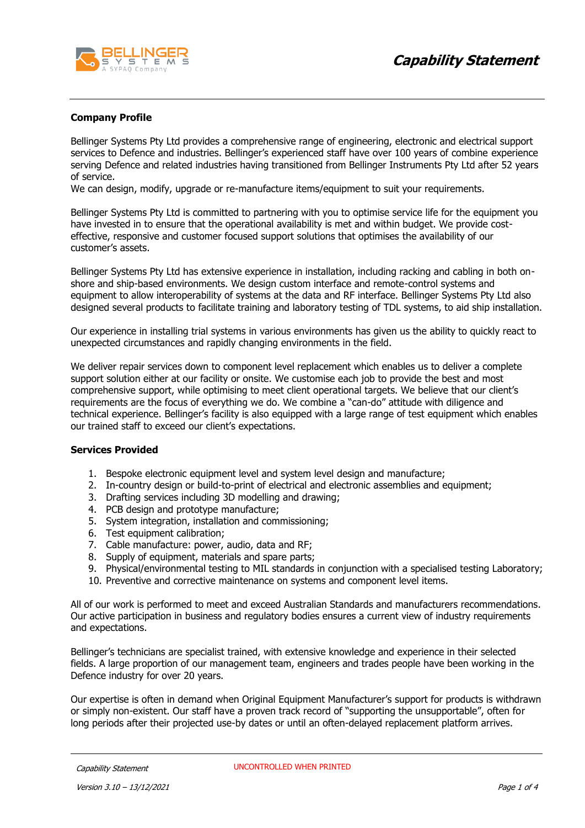

# **Company Profile**

Bellinger Systems Pty Ltd provides a comprehensive range of engineering, electronic and electrical support services to Defence and industries. Bellinger's experienced staff have over 100 years of combine experience serving Defence and related industries having transitioned from Bellinger Instruments Pty Ltd after 52 years of service.

We can design, modify, upgrade or re-manufacture items/equipment to suit your requirements.

Bellinger Systems Pty Ltd is committed to partnering with you to optimise service life for the equipment you have invested in to ensure that the operational availability is met and within budget. We provide costeffective, responsive and customer focused support solutions that optimises the availability of our customer's assets.

Bellinger Systems Pty Ltd has extensive experience in installation, including racking and cabling in both onshore and ship-based environments. We design custom interface and remote-control systems and equipment to allow interoperability of systems at the data and RF interface. Bellinger Systems Pty Ltd also designed several products to facilitate training and laboratory testing of TDL systems, to aid ship installation.

Our experience in installing trial systems in various environments has given us the ability to quickly react to unexpected circumstances and rapidly changing environments in the field.

We deliver repair services down to component level replacement which enables us to deliver a complete support solution either at our facility or onsite. We customise each job to provide the best and most comprehensive support, while optimising to meet client operational targets. We believe that our client's requirements are the focus of everything we do. We combine a "can-do" attitude with diligence and technical experience. Bellinger's facility is also equipped with a large range of test equipment which enables our trained staff to exceed our client's expectations.

#### **Services Provided**

- 1. Bespoke electronic equipment level and system level design and manufacture;
- 2. In-country design or build-to-print of electrical and electronic assemblies and equipment;
- 3. Drafting services including 3D modelling and drawing;
- 4. PCB design and prototype manufacture;
- 5. System integration, installation and commissioning;
- 6. Test equipment calibration;
- 7. Cable manufacture: power, audio, data and RF;
- 8. Supply of equipment, materials and spare parts;
- 9. Physical/environmental testing to MIL standards in conjunction with a specialised testing Laboratory;
- 10. Preventive and corrective maintenance on systems and component level items.

All of our work is performed to meet and exceed Australian Standards and manufacturers recommendations. Our active participation in business and regulatory bodies ensures a current view of industry requirements and expectations.

Bellinger's technicians are specialist trained, with extensive knowledge and experience in their selected fields. A large proportion of our management team, engineers and trades people have been working in the Defence industry for over 20 years.

Our expertise is often in demand when Original Equipment Manufacturer's support for products is withdrawn or simply non-existent. Our staff have a proven track record of "supporting the unsupportable", often for long periods after their projected use-by dates or until an often-delayed replacement platform arrives.

Capability Statement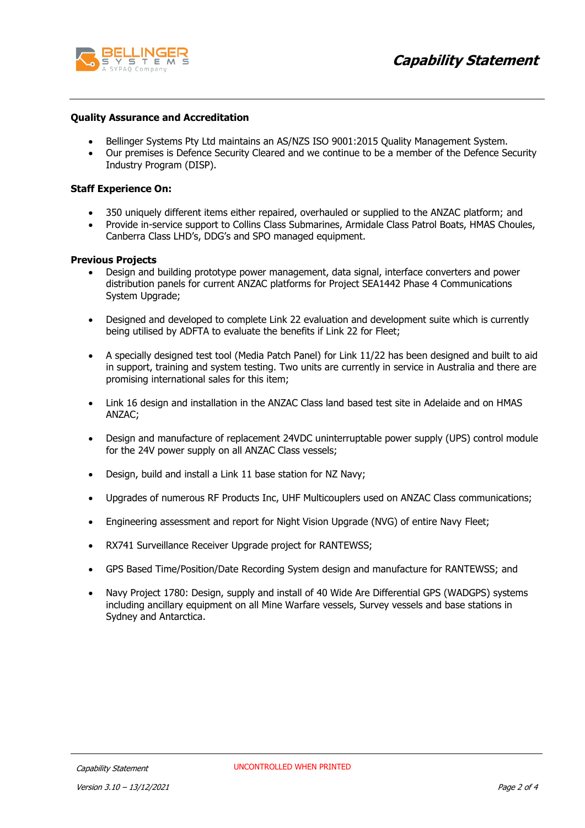



## **Quality Assurance and Accreditation**

- Bellinger Systems Pty Ltd maintains an AS/NZS ISO 9001:2015 Quality Management System.
- Our premises is Defence Security Cleared and we continue to be a member of the Defence Security Industry Program (DISP).

### **Staff Experience On:**

- 350 uniquely different items either repaired, overhauled or supplied to the ANZAC platform; and
- Provide in-service support to Collins Class Submarines, Armidale Class Patrol Boats, HMAS Choules, Canberra Class LHD's, DDG's and SPO managed equipment.

#### **Previous Projects**

- Design and building prototype power management, data signal, interface converters and power distribution panels for current ANZAC platforms for Project SEA1442 Phase 4 Communications System Upgrade;
- Designed and developed to complete Link 22 evaluation and development suite which is currently being utilised by ADFTA to evaluate the benefits if Link 22 for Fleet;
- A specially designed test tool (Media Patch Panel) for Link 11/22 has been designed and built to aid in support, training and system testing. Two units are currently in service in Australia and there are promising international sales for this item;
- Link 16 design and installation in the ANZAC Class land based test site in Adelaide and on HMAS ANZAC;
- Design and manufacture of replacement 24VDC uninterruptable power supply (UPS) control module for the 24V power supply on all ANZAC Class vessels;
- Design, build and install a Link 11 base station for NZ Navy;
- Upgrades of numerous RF Products Inc, UHF Multicouplers used on ANZAC Class communications;
- Engineering assessment and report for Night Vision Upgrade (NVG) of entire Navy Fleet;
- RX741 Surveillance Receiver Upgrade project for RANTEWSS;
- GPS Based Time/Position/Date Recording System design and manufacture for RANTEWSS; and
- Navy Project 1780: Design, supply and install of 40 Wide Are Differential GPS (WADGPS) systems including ancillary equipment on all Mine Warfare vessels, Survey vessels and base stations in Sydney and Antarctica.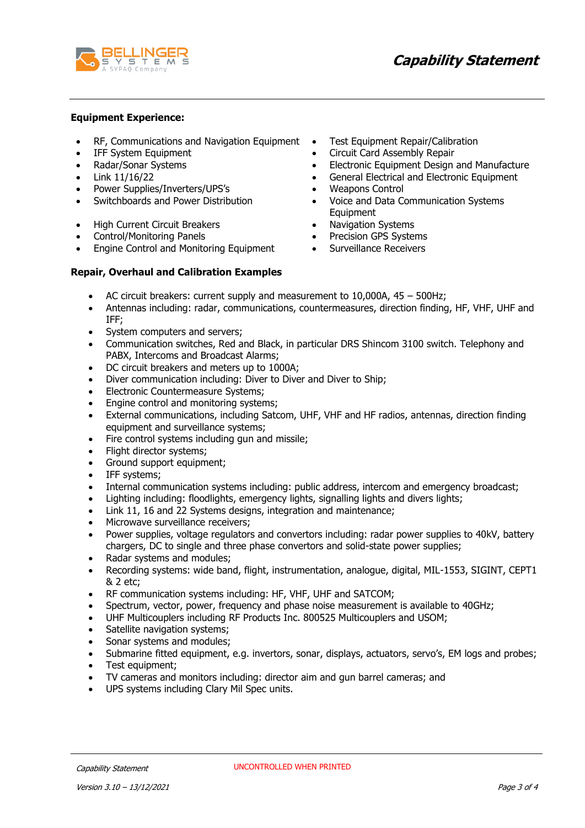

## **Equipment Experience:**

- RF, Communications and Navigation Equipment Test Equipment Repair/Calibration
- 
- 
- 
- Power Supplies/Inverters/UPS's Weapons Control
- 
- High Current Circuit Breakers Navigation Systems
- 
- Engine Control and Monitoring Equipment Surveillance Receivers
- 
- IFF System Equipment **•** Circuit Card Assembly Repair
- Radar/Sonar Systems Electronic Equipment Design and Manufacture
- Link 11/16/22 General Electrical and Electronic Equipment
	-
- Switchboards and Power Distribution Voice and Data Communication Systems Equipment
	-
- Control/Monitoring Panels Precision GPS Systems
	-

## **Repair, Overhaul and Calibration Examples**

- AC circuit breakers: current supply and measurement to 10,000A, 45 500Hz;
- Antennas including: radar, communications, countermeasures, direction finding, HF, VHF, UHF and IFF;
- System computers and servers;
- Communication switches, Red and Black, in particular DRS Shincom 3100 switch. Telephony and PABX, Intercoms and Broadcast Alarms;
- DC circuit breakers and meters up to 1000A;
- Diver communication including: Diver to Diver and Diver to Ship;
- Electronic Countermeasure Systems;
- Engine control and monitoring systems;
- External communications, including Satcom, UHF, VHF and HF radios, antennas, direction finding equipment and surveillance systems;
- Fire control systems including gun and missile;
- Flight director systems:
- Ground support equipment;
- IFF systems;
- Internal communication systems including: public address, intercom and emergency broadcast;
- Lighting including: floodlights, emergency lights, signalling lights and divers lights;
- Link 11, 16 and 22 Systems designs, integration and maintenance;
- Microwave surveillance receivers;
- Power supplies, voltage regulators and convertors including: radar power supplies to 40kV, battery chargers, DC to single and three phase convertors and solid-state power supplies;
- Radar systems and modules;
- Recording systems: wide band, flight, instrumentation, analogue, digital, MIL-1553, SIGINT, CEPT1 & 2 etc;
- RF communication systems including: HF, VHF, UHF and SATCOM;
- Spectrum, vector, power, frequency and phase noise measurement is available to 40GHz;
- UHF Multicouplers including RF Products Inc. 800525 Multicouplers and USOM;
- Satellite navigation systems;
- Sonar systems and modules;
- Submarine fitted equipment, e.g. invertors, sonar, displays, actuators, servo's, EM logs and probes;
- Test equipment;
- TV cameras and monitors including: director aim and gun barrel cameras; and
- UPS systems including Clary Mil Spec units.